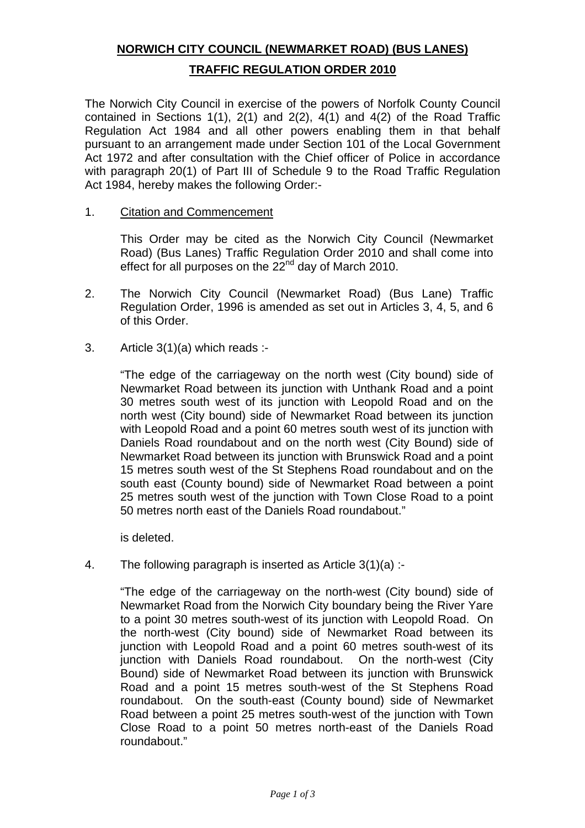## **NORWICH CITY COUNCIL (NEWMARKET ROAD) (BUS LANES) TRAFFIC REGULATION ORDER 2010**

The Norwich City Council in exercise of the powers of Norfolk County Council contained in Sections 1(1), 2(1) and 2(2), 4(1) and 4(2) of the Road Traffic Regulation Act 1984 and all other powers enabling them in that behalf pursuant to an arrangement made under Section 101 of the Local Government Act 1972 and after consultation with the Chief officer of Police in accordance with paragraph 20(1) of Part III of Schedule 9 to the Road Traffic Regulation Act 1984, hereby makes the following Order:-

## 1. Citation and Commencement

 This Order may be cited as the Norwich City Council (Newmarket Road) (Bus Lanes) Traffic Regulation Order 2010 and shall come into effect for all purposes on the  $22<sup>nd</sup>$  day of March 2010.

- 2. The Norwich City Council (Newmarket Road) (Bus Lane) Traffic Regulation Order, 1996 is amended as set out in Articles 3, 4, 5, and 6 of this Order.
- 3. Article 3(1)(a) which reads :-

 "The edge of the carriageway on the north west (City bound) side of Newmarket Road between its junction with Unthank Road and a point 30 metres south west of its junction with Leopold Road and on the north west (City bound) side of Newmarket Road between its junction with Leopold Road and a point 60 metres south west of its junction with Daniels Road roundabout and on the north west (City Bound) side of Newmarket Road between its junction with Brunswick Road and a point 15 metres south west of the St Stephens Road roundabout and on the south east (County bound) side of Newmarket Road between a point 25 metres south west of the junction with Town Close Road to a point 50 metres north east of the Daniels Road roundabout."

is deleted.

4. The following paragraph is inserted as Article 3(1)(a) :-

 "The edge of the carriageway on the north-west (City bound) side of Newmarket Road from the Norwich City boundary being the River Yare to a point 30 metres south-west of its junction with Leopold Road. On the north-west (City bound) side of Newmarket Road between its junction with Leopold Road and a point 60 metres south-west of its junction with Daniels Road roundabout. On the north-west (City Bound) side of Newmarket Road between its junction with Brunswick Road and a point 15 metres south-west of the St Stephens Road roundabout. On the south-east (County bound) side of Newmarket Road between a point 25 metres south-west of the junction with Town Close Road to a point 50 metres north-east of the Daniels Road roundabout."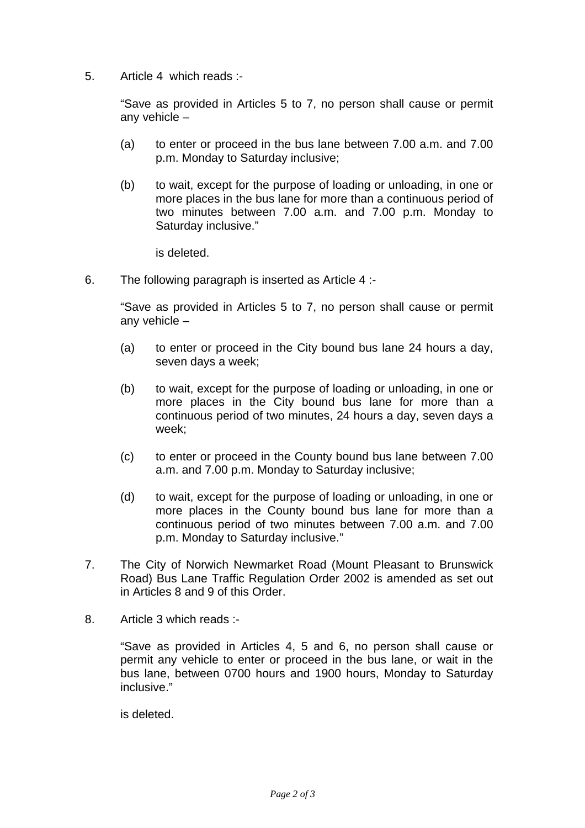5. Article 4 which reads :-

 "Save as provided in Articles 5 to 7, no person shall cause or permit any vehicle –

- (a) to enter or proceed in the bus lane between 7.00 a.m. and 7.00 p.m. Monday to Saturday inclusive;
- (b) to wait, except for the purpose of loading or unloading, in one or more places in the bus lane for more than a continuous period of two minutes between 7.00 a.m. and 7.00 p.m. Monday to Saturday inclusive."

is deleted.

6. The following paragraph is inserted as Article 4 :-

 "Save as provided in Articles 5 to 7, no person shall cause or permit any vehicle –

- (a) to enter or proceed in the City bound bus lane 24 hours a day, seven days a week;
- (b) to wait, except for the purpose of loading or unloading, in one or more places in the City bound bus lane for more than a continuous period of two minutes, 24 hours a day, seven days a week;
- (c) to enter or proceed in the County bound bus lane between 7.00 a.m. and 7.00 p.m. Monday to Saturday inclusive;
- (d) to wait, except for the purpose of loading or unloading, in one or more places in the County bound bus lane for more than a continuous period of two minutes between 7.00 a.m. and 7.00 p.m. Monday to Saturday inclusive."
- 7. The City of Norwich Newmarket Road (Mount Pleasant to Brunswick Road) Bus Lane Traffic Regulation Order 2002 is amended as set out in Articles 8 and 9 of this Order.
- 8. Article 3 which reads :-

 "Save as provided in Articles 4, 5 and 6, no person shall cause or permit any vehicle to enter or proceed in the bus lane, or wait in the bus lane, between 0700 hours and 1900 hours, Monday to Saturday inclusive."

is deleted.